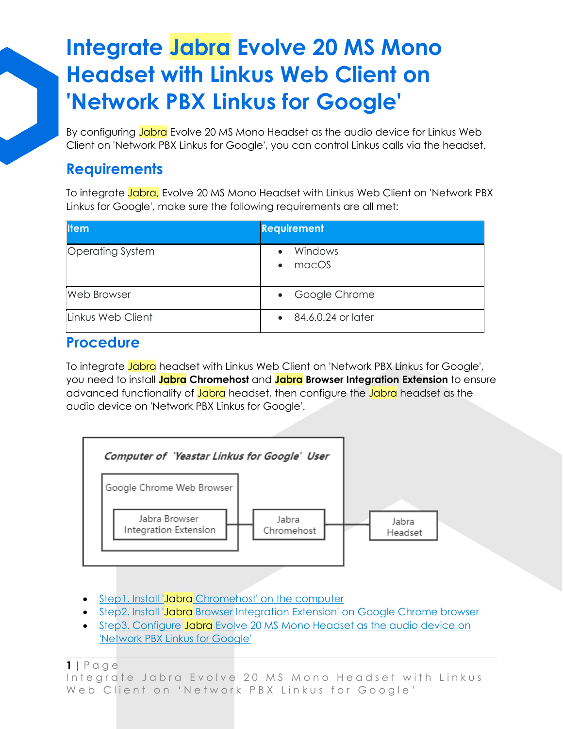By configuring Jabra Evolve 20 MS Mono Headset as the audio device for Linkus Web Client on 'Network PBX Linkus for Google', you can control Linkus calls via the headset.

### **Requirements**

To integrate Jabra, Evolve 20 MS Mono Headset with Linkus Web Client on 'Network PBX Linkus for Google', make sure the following requirements are all met:

| <b>Item</b>             | <b>Requirement</b>            |
|-------------------------|-------------------------------|
| <b>Operating System</b> | Windows<br>macOS<br>$\bullet$ |
| <b>Web Browser</b>      | • Google Chrome               |
| Linkus Web Client       | 84.6.0.24 or later            |

### **Procedure**

To integrate Jabra headset with Linkus Web Client on 'Network PBX Linkus for Google', you need to install **Jabra Chromehost** and **Jabra Browser Integration Extension** to ensure advanced functionality of Jabra headset, then configure the Jabra headset as the audio device on 'Network PBX Linkus for Google'.



- Step1. Install 'Jabra [Chromehost' on the computer](https://help.yeastar.com/en/p-series-cloud-edition/yeastar-linkus-for-google-user-guide/integrate-jabra-evolve-20-ms-mono-headset-with-linkus-web-client-on-linkus-chrome-extension.html?hl=jabra#integrate-jabra-evolve-20-ms-with-linkus-desktop-client__section_dwz_2r4_crb)
- Step2. Install 'Jabra [Browser Integration Extension' on Google Chrome browser](https://help.yeastar.com/en/p-series-cloud-edition/yeastar-linkus-for-google-user-guide/integrate-jabra-evolve-20-ms-mono-headset-with-linkus-web-client-on-linkus-chrome-extension.html?hl=jabra#integrate-jabra-evolve-20-ms-with-linkus-desktop-client__section_abq_dm4_crb)
- Step3. Configure Jabra Evolve 20 MS Mono Headset as the audio device on 'Network PBX [Linkus for Google'](https://help.yeastar.com/en/p-series-cloud-edition/yeastar-linkus-for-google-user-guide/integrate-jabra-evolve-20-ms-mono-headset-with-linkus-web-client-on-linkus-chrome-extension.html?hl=jabra#integrate-jabra-evolve-20-ms-with-linkus-desktop-client__section_ydd_3s4_crb)

**1 |** P a g e

Integrate Jabra Evolve 20 MS Mono Headset with Linkus Web Client on 'Network PBX Linkus for Google'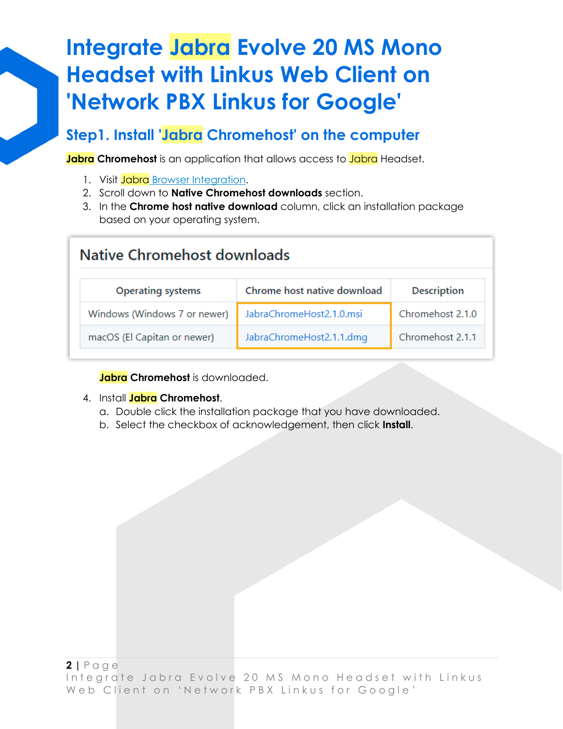### **Step1. Install 'Jabra Chromehost' on the computer**

**Jabra Chromehost** is an application that allows access to Jabra Headset.

- 1. Visit Jabra [Browser Integration.](https://github.com/gnaudio/jabra-browser-integration#native-chromehost-downloads)
- 2. Scroll down to **Native Chromehost downloads** section.
- 3. In the **Chrome host native download** column, click an installation package based on your operating system.

| Native Chromehost downloads                                                   |                          |                  |  |
|-------------------------------------------------------------------------------|--------------------------|------------------|--|
| Chrome host native download<br><b>Description</b><br><b>Operating systems</b> |                          |                  |  |
| Windows (Windows 7 or newer)                                                  | JabraChromeHost2.1.0.msi | Chromehost 2.1.0 |  |
| macOS (El Capitan or newer)                                                   | JabraChromeHost2.1.1.dmg | Chromehost 2.1.1 |  |

**Jabra Chromehost** is downloaded.

#### 4. Install **Jabra Chromehost**.

- a. Double click the installation package that you have downloaded.
- b. Select the checkbox of acknowledgement, then click **Install**.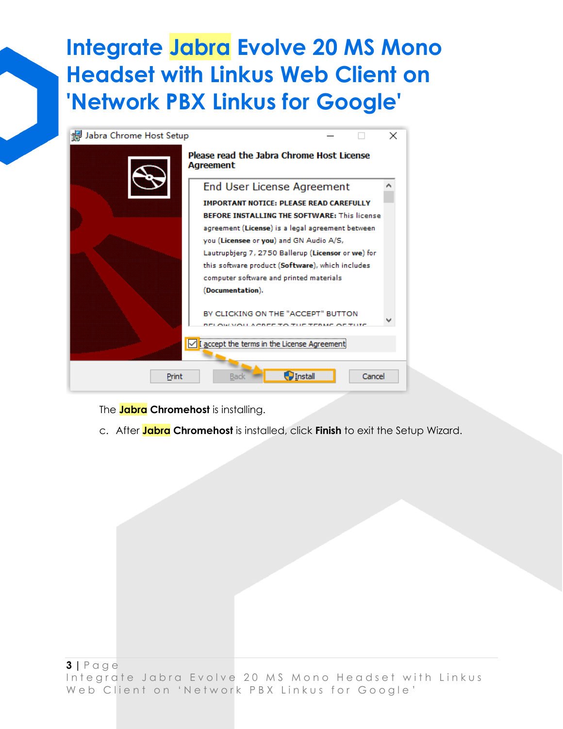

The **Jabra Chromehost** is installing.

c. After **Jabra Chromehost** is installed, click **Finish** to exit the Setup Wizard.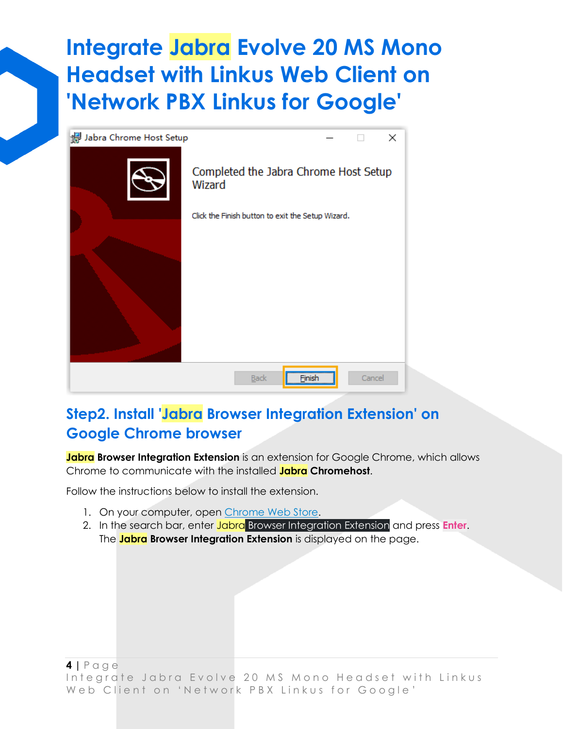

### **Step2. Install 'Jabra Browser Integration Extension' on Google Chrome browser**

**Jabra Browser Integration Extension** is an extension for Google Chrome, which allows Chrome to communicate with the installed **Jabra Chromehost**.

Follow the instructions below to install the extension.

- 1. On your computer, open [Chrome Web Store.](https://chrome.google.com/webstore/category/extensions?hl=en)
- 2. In the search bar, enter Jabra Browser Integration Extension and press **Enter**. The **Jabra Browser Integration Extension** is displayed on the page.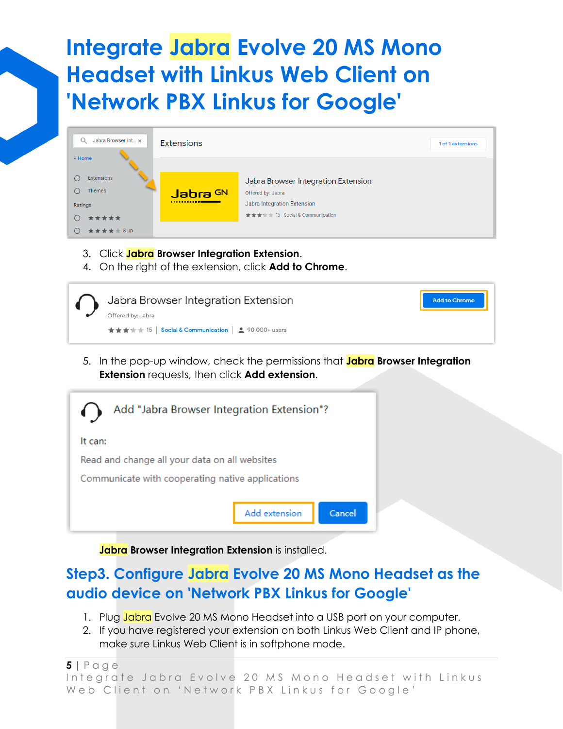| Q<br>Jabra Browser Int x | <b>Extensions</b> |                                                     | 1 of 1 extensions |
|--------------------------|-------------------|-----------------------------------------------------|-------------------|
| « Home                   |                   |                                                     |                   |
| <b>Extensions</b>        |                   | Jabra Browser Integration Extension                 |                   |
| <b>Themes</b>            | Jabra GN          | Offered by: Jabra                                   |                   |
| Ratings                  |                   | Jabra Integration Extension                         |                   |
| *****                    |                   | $\star \star \star \star$ 15 Social & Communication |                   |
| <b>★★★★ &amp;up</b>      |                   |                                                     |                   |

- 3. Click **Jabra Browser Integration Extension**.
- 4. On the right of the extension, click **Add to Chrome**.

| Jabra Browser Integration Extension                  | <b>Add to Chrome</b> |
|------------------------------------------------------|----------------------|
| Offered by: Jabra                                    |                      |
| ★★★★★ 15   Social & Communication   2, 90,000+ users |                      |

5. In the pop-up window, check the permissions that **Jabra Browser Integration Extension** requests, then click **Add extension**.



**Jabra Browser Integration Extension** is installed.

### **Step3. Configure Jabra Evolve 20 MS Mono Headset as the audio device on 'Network PBX Linkus for Google'**

- 1. Plug Jabra Evolve 20 MS Mono Headset into a USB port on your computer.
- 2. If you have registered your extension on both Linkus Web Client and IP phone, make sure Linkus Web Client is in softphone mode.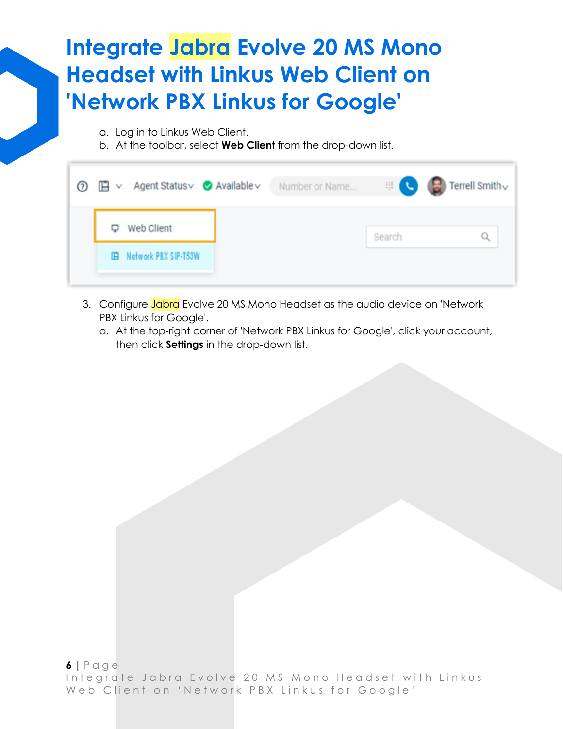- a. Log in to Linkus Web Client.
- b. At the toolbar, select **Web Client** from the drop-down list.

|   | <b>⑦ 旧 v</b> Agent Status v Available v | Number or Name |        | $\mathbb{E}[\mathbf{C}]\subset\mathbf{E}$ Terrell Smith $\mathbf{C}$ |
|---|-----------------------------------------|----------------|--------|----------------------------------------------------------------------|
| Q | Web Client                              |                | Search |                                                                      |
|   | <b>IEB</b> Network PBX SIP-T53W         |                |        |                                                                      |
|   |                                         |                |        |                                                                      |

- 3. Configure Jabra Evolve 20 MS Mono Headset as the audio device on 'Network PBX Linkus for Google'.
	- a. At the top-right corner of 'Network PBX Linkus for Google', click your account, then click **Settings** in the drop-down list.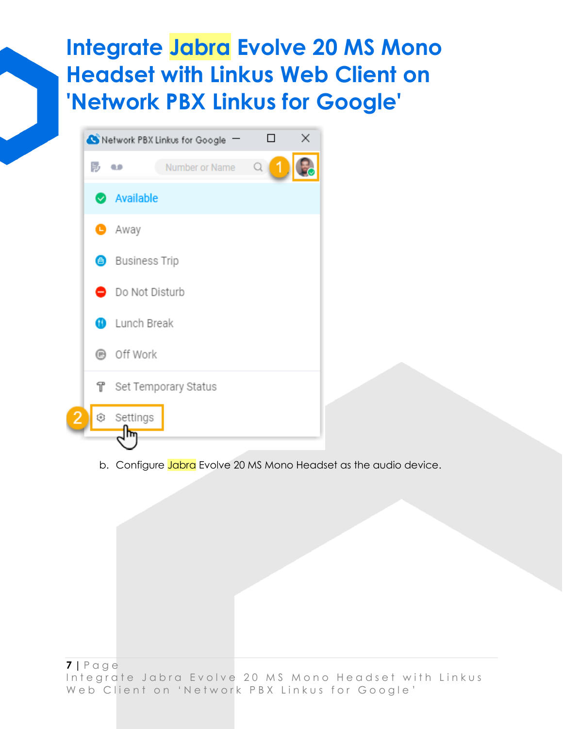|   | Network PBX Linkus for Google - |                | × |
|---|---------------------------------|----------------|---|
| 訪 | Number or Name<br>٠             | $\alpha$<br>1. |   |
|   | Available                       |                |   |
|   | <b>O</b> Away                   |                |   |
|   | <b>Business Trip</b>            |                |   |
|   | Do Not Disturb                  |                |   |
|   | <b>O</b> Lunch Break            |                |   |
|   | <b>■</b> Off Work               |                |   |
|   | ↑ Set Temporary Status          |                |   |
|   | Settings®                       |                |   |
|   |                                 |                |   |

b. Configure Jabra Evolve 20 MS Mono Headset as the audio device.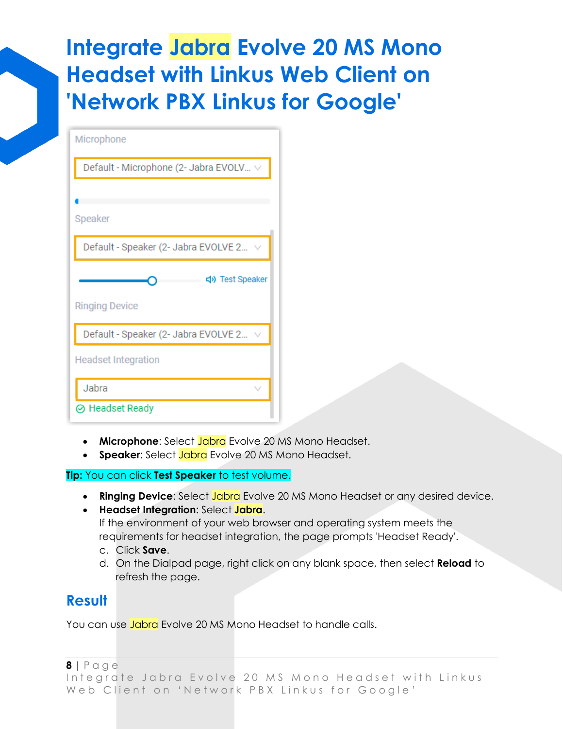| Microphone                                  |
|---------------------------------------------|
| Default - Microphone (2- Jabra EVOLV $\vee$ |
|                                             |
| Speaker                                     |
| Default - Speaker (2- Jabra EVOLVE 2 $\vee$ |
|                                             |
| <br>Test Speaker                            |
| <b>Ringing Device</b>                       |
| Default - Speaker (2- Jabra EVOLVE 2        |
| <b>Headset Integration</b>                  |
| Jabra                                       |

- **Microphone**: Select Jabra Evolve 20 MS Mono Headset.
- **Speaker**: Select Jabra Evolve 20 MS Mono Headset.

#### **Tip:** You can click **Test Speaker** to test volume.

- **Ringing Device**: Select Jabra Evolve 20 MS Mono Headset or any desired device.
- **Headset Integration**: Select **Jabra**.

If the environment of your web browser and operating system meets the requirements for headset integration, the page prompts 'Headset Ready'.

- c. Click **Save**.
- d. On the Dialpad page, right click on any blank space, then select **Reload** to refresh the page.

### **Result**

You can use **Jabra** Evolve 20 MS Mono Headset to handle calls.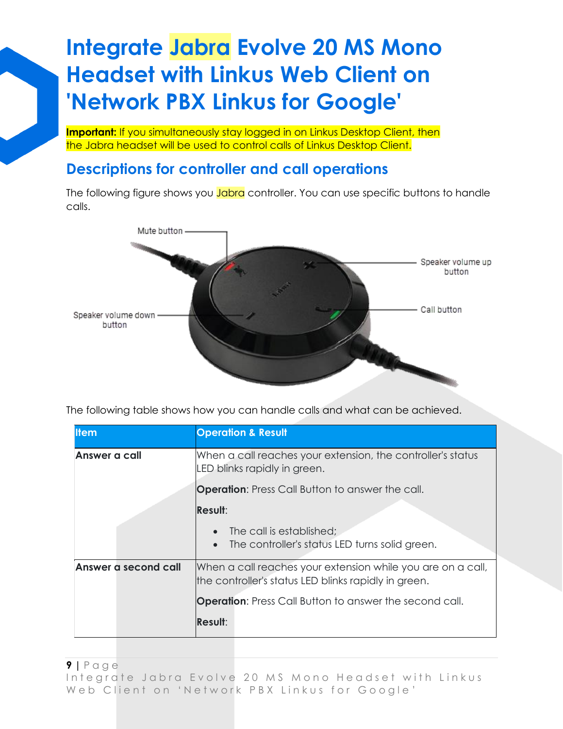**Important:** If you simultaneously stay logged in on Linkus Desktop Client, then the Jabra headset will be used to control calls of Linkus Desktop Client.

### **Descriptions for controller and call operations**

The following figure shows you **Jabra** controller. You can use specific buttons to handle calls.



The following table shows how you can handle calls and what can be achieved.

| <b>I</b> tem         | <b>Operation &amp; Result</b>                                                                                       |  |
|----------------------|---------------------------------------------------------------------------------------------------------------------|--|
| Answer a call        | When a call reaches your extension, the controller's status<br>LED blinks rapidly in green.                         |  |
|                      | <b>Operation:</b> Press Call Button to answer the call.                                                             |  |
|                      | <b>Result:</b>                                                                                                      |  |
|                      | The call is established;<br>The controller's status LED turns solid green.                                          |  |
| Answer a second call | When a call reaches your extension while you are on a call,<br>the controller's status LED blinks rapidly in green. |  |
|                      | <b>Operation:</b> Press Call Button to answer the second call.                                                      |  |
|                      | Result:                                                                                                             |  |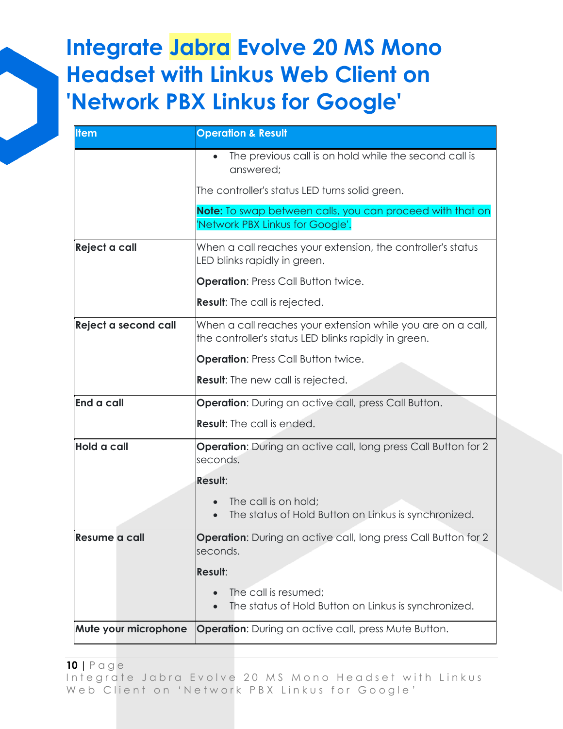| <b>Item</b>          | <b>Operation &amp; Result</b>                                                                                       |
|----------------------|---------------------------------------------------------------------------------------------------------------------|
|                      | The previous call is on hold while the second call is<br>answered;                                                  |
|                      | The controller's status LED turns solid green.                                                                      |
|                      | Note: To swap between calls, you can proceed with that on                                                           |
|                      | Network PBX Linkus for Google'.                                                                                     |
| Reject a call        | When a call reaches your extension, the controller's status<br>LED blinks rapidly in green.                         |
|                      | <b>Operation: Press Call Button twice.</b>                                                                          |
|                      | <b>Result:</b> The call is rejected.                                                                                |
| Reject a second call | When a call reaches your extension while you are on a call,<br>the controller's status LED blinks rapidly in green. |
|                      | <b>Operation: Press Call Button twice.</b>                                                                          |
|                      | <b>Result:</b> The new call is rejected.                                                                            |
| End a call           | <b>Operation:</b> During an active call, press Call Button.                                                         |
|                      | <b>Result:</b> The call is ended.                                                                                   |
| <b>Hold a call</b>   | <b>Operation:</b> During an active call, long press Call Button for 2<br>seconds.                                   |
|                      | Result:                                                                                                             |
|                      | The call is on hold;<br>The status of Hold Button on Linkus is synchronized.                                        |
| Resume a call        | <b>Operation:</b> During an active call, long press Call Button for 2<br>seconds.                                   |
|                      | Result:                                                                                                             |
|                      | The call is resumed;<br>The status of Hold Button on Linkus is synchronized.                                        |
| Mute your microphone | <b>Operation:</b> During an active call, press Mute Button.                                                         |